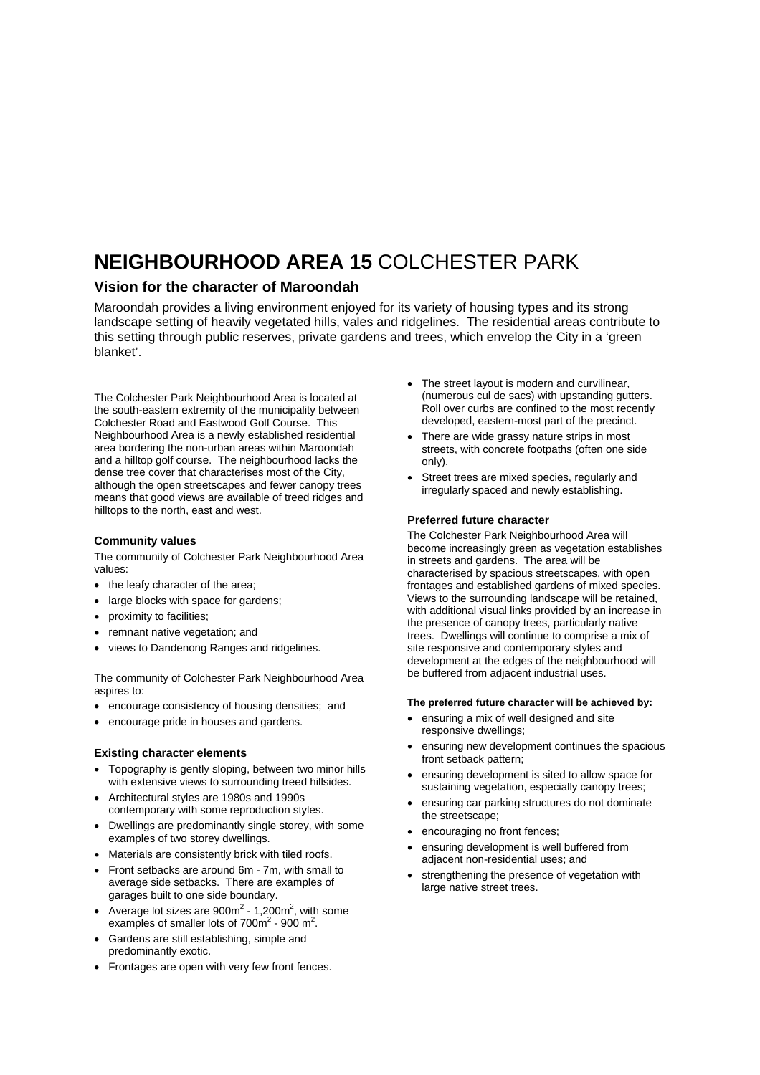# **NEIGHBOURHOOD AREA 15** COLCHESTER PARK

### **Vision for the character of Maroondah**

Maroondah provides a living environment enjoyed for its variety of housing types and its strong landscape setting of heavily vegetated hills, vales and ridgelines. The residential areas contribute to this setting through public reserves, private gardens and trees, which envelop the City in a 'green blanket'.

The Colchester Park Neighbourhood Area is located at the south-eastern extremity of the municipality between Colchester Road and Eastwood Golf Course. This Neighbourhood Area is a newly established residential area bordering the non-urban areas within Maroondah and a hilltop golf course. The neighbourhood lacks the dense tree cover that characterises most of the City, although the open streetscapes and fewer canopy trees means that good views are available of treed ridges and hilltops to the north, east and west.

#### **Community values**

The community of Colchester Park Neighbourhood Area values:

- the leafy character of the area;
- large blocks with space for gardens;
- proximity to facilities;
- remnant native vegetation; and
- views to Dandenong Ranges and ridgelines.

The community of Colchester Park Neighbourhood Area aspires to:

- encourage consistency of housing densities; and
- encourage pride in houses and gardens.

#### **Existing character elements**

- Topography is gently sloping, between two minor hills with extensive views to surrounding treed hillsides.
- Architectural styles are 1980s and 1990s contemporary with some reproduction styles.
- Dwellings are predominantly single storey, with some examples of two storey dwellings.
- Materials are consistently brick with tiled roofs.
- Front setbacks are around 6m 7m, with small to average side setbacks. There are examples of garages built to one side boundary.
- Average lot sizes are  $900m^2$  1,200m<sup>2</sup>, with some examples of smaller lots of  $700m^2$  - 900 m<sup>2</sup>.
- Gardens are still establishing, simple and predominantly exotic.
- Frontages are open with very few front fences.
- The street layout is modern and curvilinear, (numerous cul de sacs) with upstanding gutters. Roll over curbs are confined to the most recently developed, eastern-most part of the precinct.
- There are wide grassy nature strips in most streets, with concrete footpaths (often one side only).
- Street trees are mixed species, regularly and irregularly spaced and newly establishing.

#### **Preferred future character**

The Colchester Park Neighbourhood Area will become increasingly green as vegetation establishes in streets and gardens. The area will be characterised by spacious streetscapes, with open frontages and established gardens of mixed species. Views to the surrounding landscape will be retained, with additional visual links provided by an increase in the presence of canopy trees, particularly native trees. Dwellings will continue to comprise a mix of site responsive and contemporary styles and development at the edges of the neighbourhood will be buffered from adjacent industrial uses.

#### **The preferred future character will be achieved by:**

- ensuring a mix of well designed and site responsive dwellings;
- ensuring new development continues the spacious front setback pattern;
- ensuring development is sited to allow space for sustaining vegetation, especially canopy trees;
- ensuring car parking structures do not dominate the streetscape;
- encouraging no front fences;
- ensuring development is well buffered from adjacent non-residential uses; and
- strengthening the presence of vegetation with large native street trees.